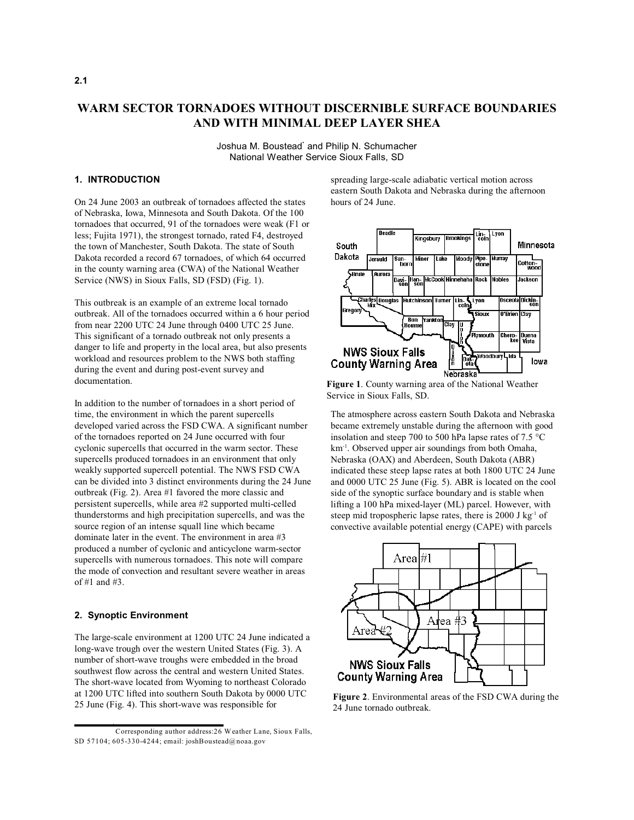# **WARM SECTOR TORNADOES WITHOUT DISCERNIBLE SURFACE BOUNDARIES AND WITH MINIMAL DEEP LAYER SHEA**

Joshua M. Boustead' and Philip N. Schumacher National Weather Service Sioux Falls, SD

## **1. INTRODUCTION**

On 24 June 2003 an outbreak of tornadoes affected the states of Nebraska, Iowa, Minnesota and South Dakota. Of the 100 tornadoes that occurred, 91 of the tornadoes were weak (F1 or less; Fujita 1971), the strongest tornado, rated F4, destroyed the town of Manchester, South Dakota. The state of South Dakota recorded a record 67 tornadoes, of which 64 occurred in the county warning area (CWA) of the National Weather Service (NWS) in Sioux Falls, SD (FSD) (Fig. 1).

This outbreak is an example of an extreme local tornado outbreak. All of the tornadoes occurred within a 6 hour period from near 2200 UTC 24 June through 0400 UTC 25 June. This significant of a tornado outbreak not only presents a danger to life and property in the local area, but also presents workload and resources problem to the NWS both staffing during the event and during post-event survey and documentation.

In addition to the number of tornadoes in a short period of time, the environment in which the parent supercells developed varied across the FSD CWA. A significant number of the tornadoes reported on 24 June occurred with four cyclonic supercells that occurred in the warm sector. These supercells produced tornadoes in an environment that only weakly supported supercell potential. The NWS FSD CWA can be divided into 3 distinct environments during the 24 June outbreak (Fig. 2). Area #1 favored the more classic and persistent supercells, while area #2 supported multi-celled thunderstorms and high precipitation supercells, and was the source region of an intense squall line which became dominate later in the event. The environment in area #3 produced a number of cyclonic and anticyclone warm-sector supercells with numerous tornadoes. This note will compare the mode of convection and resultant severe weather in areas of #1 and #3.

## **2. Synoptic Environment**

The large-scale environment at 1200 UTC 24 June indicated a long-wave trough over the western United States (Fig. 3). A number of short-wave troughs were embedded in the broad southwest flow across the central and western United States. The short-wave located from Wyoming to northeast Colorado at 1200 UTC lifted into southern South Dakota by 0000 UTC 25 June (Fig. 4). This short-wave was responsible for

spreading large-scale adiabatic vertical motion across eastern South Dakota and Nebraska during the afternoon hours of 24 June.



**Figure 1**. County warning area of the National Weather Service in Sioux Falls, SD.

The atmosphere across eastern South Dakota and Nebraska became extremely unstable during the afternoon with good insolation and steep 700 to 500 hPa lapse rates of 7.5 C km<sup>-1</sup>. Observed upper air soundings from both Omaha, Nebraska (OAX) and Aberdeen, South Dakota (ABR) indicated these steep lapse rates at both 1800 UTC 24 June and 0000 UTC 25 June (Fig. 5). ABR is located on the cool side of the synoptic surface boundary and is stable when lifting a 100 hPa mixed-layer (ML) parcel. However, with steep mid tropospheric lapse rates, there is  $2000 \text{ J kg}^{-1}$  of convective available potential energy (CAPE) with parcels



**Figure 2**. Environmental areas of the FSD CWA during the 24 June tornado outbreak.

Corresponding author address:26 Weather Lane, Sioux Falls, \* SD 57104; 605-330-4244; email: joshBoustead@noaa.gov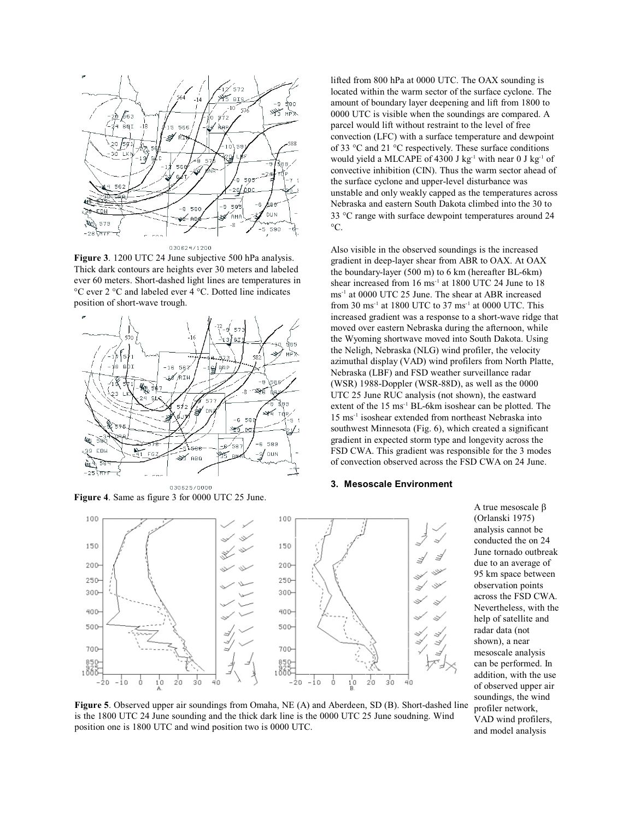

030624/1200

**Figure 3**. 1200 UTC 24 June subjective 500 hPa analysis. Thick dark contours are heights ever 30 meters and labeled ever 60 meters. Short-dashed light lines are temperatures in °C ever 2 °C and labeled ever 4 °C. Dotted line indicates position of short-wave trough.



**Figure 4**. Same as figure 3 for 0000 UTC 25 June.

lifted from 800 hPa at 0000 UTC. The OAX sounding is located within the warm sector of the surface cyclone. The amount of boundary layer deepening and lift from 1800 to 0000 UTC is visible when the soundings are compared. A parcel would lift without restraint to the level of free convection (LFC) with a surface temperature and dewpoint of 33 C and 21 C respectively. These surface conditions would yield a MLCAPE of 4300 J kg<sup>-1</sup> with near 0 J kg<sup>-1</sup> of convective inhibition (CIN). Thus the warm sector ahead of the surface cyclone and upper-level disturbance was unstable and only weakly capped as the temperatures across Nebraska and eastern South Dakota climbed into the 30 to 33 C range with surface dewpoint temperatures around 24 C.

Also visible in the observed soundings is the increased gradient in deep-layer shear from ABR to OAX. At OAX the boundary-layer (500 m) to 6 km (hereafter BL-6km) shear increased from  $16 \text{ ms}^{-1}$  at  $1800 \text{ UTC } 24$  June to  $18$  $\text{ms}^{-1}$  at 0000 UTC 25 June. The shear at ABR increased from 30 ms<sup>-1</sup> at 1800 UTC to 37 ms<sup>-1</sup> at 0000 UTC. This increased gradient was a response to a short-wave ridge that moved over eastern Nebraska during the afternoon, while the Wyoming shortwave moved into South Dakota. Using the Neligh, Nebraska (NLG) wind profiler, the velocity azimuthal display (VAD) wind profilers from North Platte, Nebraska (LBF) and FSD weather surveillance radar (WSR) 1988-Doppler (WSR-88D), as well as the 0000 UTC 25 June RUC analysis (not shown), the eastward extent of the  $15 \text{ ms}^{-1}$  BL-6km isoshear can be plotted. The  $15 \text{ ms}^{-1}$  isoshear extended from northeast Nebraska into southwest Minnesota (Fig. 6), which created a significant gradient in expected storm type and longevity across the FSD CWA. This gradient was responsible for the 3 modes of convection observed across the FSD CWA on 24 June.

#### **3. Mesoscale Environment**



A true mesoscale (Orlanski 1975) analysis cannot be conducted the on 24 June tornado outbreak due to an average of 95 km space between observation points across the FSD CWA. Nevertheless, with the help of satellite and radar data (not shown), a near mesoscale analysis can be performed. In addition, with the use of observed upper air soundings, the wind profiler network, VAD wind profilers, and model analysis

**Figure 5**. Observed upper air soundings from Omaha, NE (A) and Aberdeen, SD (B). Short-dashed line is the 1800 UTC 24 June sounding and the thick dark line is the 0000 UTC 25 June soudning. Wind position one is 1800 UTC and wind position two is 0000 UTC.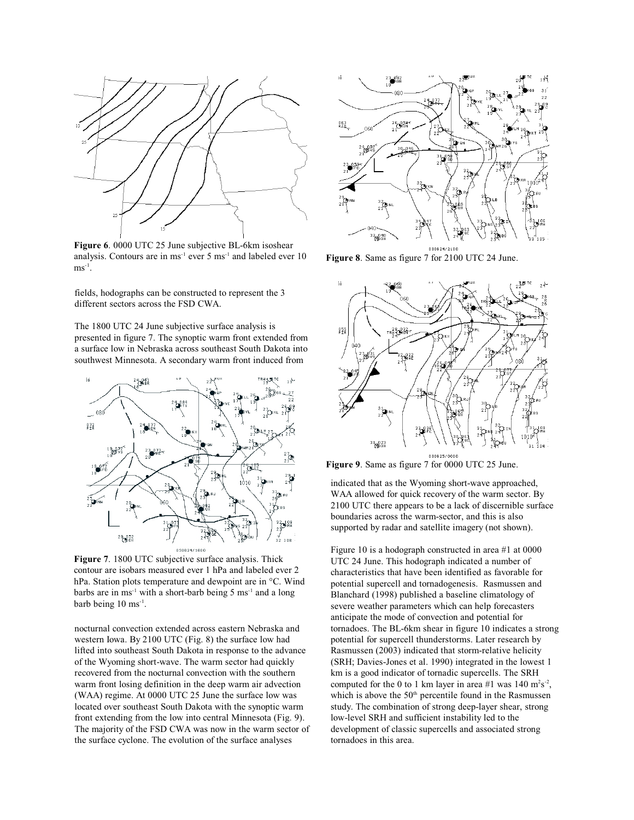

**Figure 6**. 0000 UTC 25 June subjective BL-6km isoshear analysis. Contours are in  $ms^{-1}$  ever 5  $ms^{-1}$  and labeled ever 10  $\text{ms}^{-1}$ .

fields, hodographs can be constructed to represent the 3 different sectors across the FSD CWA.

The 1800 UTC 24 June subjective surface analysis is presented in figure 7. The synoptic warm front extended from a surface low in Nebraska across southeast South Dakota into southwest Minnesota. A secondary warm front induced from



**Figure 7**. 1800 UTC subjective surface analysis. Thick contour are isobars measured ever 1 hPa and labeled ever 2 hPa. Station plots temperature and dewpoint are in °C. Wind barbs are in ms<sup>-1</sup> with a short-barb being 5 ms<sup>-1</sup> and a long barb being  $10 \text{ ms}^{-1}$ .

nocturnal convection extended across eastern Nebraska and western Iowa. By 2100 UTC (Fig. 8) the surface low had lifted into southeast South Dakota in response to the advance of the Wyoming short-wave. The warm sector had quickly recovered from the nocturnal convection with the southern warm front losing definition in the deep warm air advection (WAA) regime. At 0000 UTC 25 June the surface low was located over southeast South Dakota with the synoptic warm front extending from the low into central Minnesota (Fig. 9). The majority of the FSD CWA was now in the warm sector of the surface cyclone. The evolution of the surface analyses



**Figure 8**. Same as figure 7 for 2100 UTC 24 June.



**Figure 9**. Same as figure 7 for 0000 UTC 25 June.

indicated that as the Wyoming short-wave approached, WAA allowed for quick recovery of the warm sector. By 2100 UTC there appears to be a lack of discernible surface boundaries across the warm-sector, and this is also supported by radar and satellite imagery (not shown).

Figure 10 is a hodograph constructed in area #1 at 0000 UTC 24 June. This hodograph indicated a number of characteristics that have been identified as favorable for potential supercell and tornadogenesis. Rasmussen and Blanchard (1998) published a baseline climatology of severe weather parameters which can help forecasters anticipate the mode of convection and potential for tornadoes. The BL-6km shear in figure 10 indicates a strong potential for supercell thunderstorms. Later research by Rasmussen (2003) indicated that storm-relative helicity (SRH; Davies-Jones et al. 1990) integrated in the lowest 1 km is a good indicator of tornadic supercells. The SRH computed for the 0 to 1 km layer in area #1 was  $140 \text{ m}^2\text{s}^{-2}$ , which is above the 50<sup>th</sup> percentile found in the Rasmussen study. The combination of strong deep-layer shear, strong low-level SRH and sufficient instability led to the development of classic supercells and associated strong tornadoes in this area.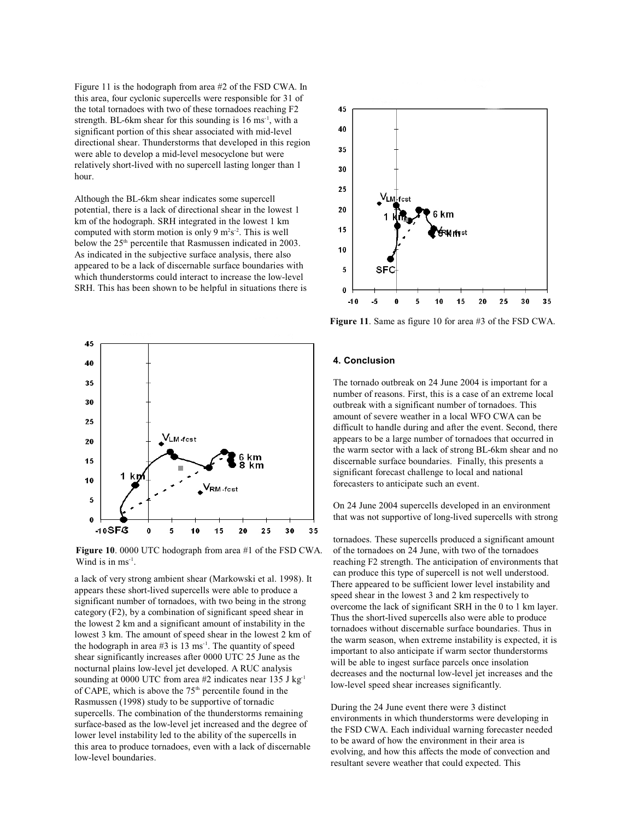Figure 11 is the hodograph from area #2 of the FSD CWA. In this area, four cyclonic supercells were responsible for 31 of the total tornadoes with two of these tornadoes reaching F2 strength. BL-6km shear for this sounding is  $16 \text{ ms}^{-1}$ , with a significant portion of this shear associated with mid-level directional shear. Thunderstorms that developed in this region were able to develop a mid-level mesocyclone but were relatively short-lived with no supercell lasting longer than 1 hour.

Although the BL-6km shear indicates some supercell potential, there is a lack of directional shear in the lowest 1 km of the hodograph. SRH integrated in the lowest 1 km computed with storm motion is only 9  $m<sup>2</sup>s<sup>-2</sup>$ . This is well below the  $25<sup>th</sup>$  percentile that Rasmussen indicated in 2003. As indicated in the subjective surface analysis, there also appeared to be a lack of discernable surface boundaries with which thunderstorms could interact to increase the low-level SRH. This has been shown to be helpful in situations there is



**Figure 10**. 0000 UTC hodograph from area #1 of the FSD CWA. Wind is in  $ms^{-1}$ .

a lack of very strong ambient shear (Markowski et al. 1998). It appears these short-lived supercells were able to produce a significant number of tornadoes, with two being in the strong category (F2), by a combination of significant speed shear in the lowest 2 km and a significant amount of instability in the lowest 3 km. The amount of speed shear in the lowest 2 km of the hodograph in area  $#3$  is 13 ms<sup>-1</sup>. The quantity of speed shear significantly increases after 0000 UTC 25 June as the nocturnal plains low-level jet developed. A RUC analysis sounding at 0000 UTC from area #2 indicates near 135 J kg<sup>-1</sup> of CAPE, which is above the  $75<sup>th</sup>$  percentile found in the Rasmussen (1998) study to be supportive of tornadic supercells. The combination of the thunderstorms remaining surface-based as the low-level jet increased and the degree of lower level instability led to the ability of the supercells in this area to produce tornadoes, even with a lack of discernable low-level boundaries.



**Figure 11**. Same as figure 10 for area #3 of the FSD CWA.

#### **4. Conclusion**

The tornado outbreak on 24 June 2004 is important for a number of reasons. First, this is a case of an extreme local outbreak with a significant number of tornadoes. This amount of severe weather in a local WFO CWA can be difficult to handle during and after the event. Second, there appears to be a large number of tornadoes that occurred in the warm sector with a lack of strong BL-6km shear and no discernable surface boundaries. Finally, this presents a significant forecast challenge to local and national forecasters to anticipate such an event.

On 24 June 2004 supercells developed in an environment that was not supportive of long-lived supercells with strong

tornadoes. These supercells produced a significant amount of the tornadoes on 24 June, with two of the tornadoes reaching F2 strength. The anticipation of environments that can produce this type of supercell is not well understood. There appeared to be sufficient lower level instability and speed shear in the lowest 3 and 2 km respectively to overcome the lack of significant SRH in the 0 to 1 km layer. Thus the short-lived supercells also were able to produce tornadoes without discernable surface boundaries. Thus in the warm season, when extreme instability is expected, it is important to also anticipate if warm sector thunderstorms will be able to ingest surface parcels once insolation decreases and the nocturnal low-level jet increases and the low-level speed shear increases significantly.

During the 24 June event there were 3 distinct environments in which thunderstorms were developing in the FSD CWA. Each individual warning forecaster needed to be award of how the environment in their area is evolving, and how this affects the mode of convection and resultant severe weather that could expected. This